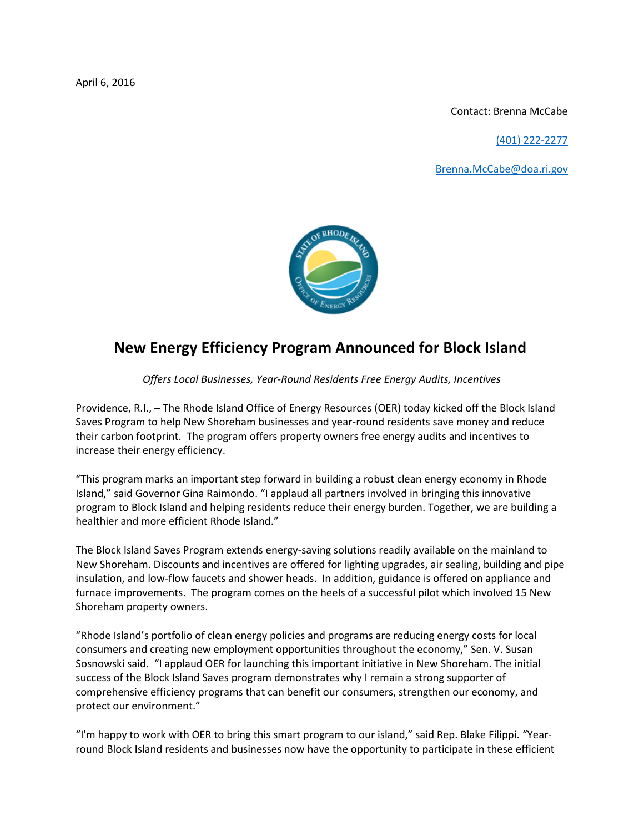April 6, 2016

Contact: Brenna McCabe

[\(401\) 222-2277](tel:(401)%20222-2277)

[Brenna.McCabe@doa.ri.gov](mailto:Brenna.McCabe@doa.ri.gov)



## **New Energy Efficiency Program Announced for Block Island**

*Offers Local Businesses, Year-Round Residents Free Energy Audits, Incentives*

Providence, R.I., – The Rhode Island Office of Energy Resources (OER) today kicked off the Block Island Saves Program to help New Shoreham businesses and year-round residents save money and reduce their carbon footprint. The program offers property owners free energy audits and incentives to increase their energy efficiency.

"This program marks an important step forward in building a robust clean energy economy in Rhode Island," said Governor Gina Raimondo. "I applaud all partners involved in bringing this innovative program to Block Island and helping residents reduce their energy burden. Together, we are building a healthier and more efficient Rhode Island."

The Block Island Saves Program extends energy-saving solutions readily available on the mainland to New Shoreham. Discounts and incentives are offered for lighting upgrades, air sealing, building and pipe insulation, and low-flow faucets and shower heads. In addition, guidance is offered on appliance and furnace improvements. The program comes on the heels of a successful pilot which involved 15 New Shoreham property owners.

"Rhode Island's portfolio of clean energy policies and programs are reducing energy costs for local consumers and creating new employment opportunities throughout the economy," Sen. V. Susan Sosnowski said. "I applaud OER for launching this important initiative in New Shoreham. The initial success of the Block Island Saves program demonstrates why I remain a strong supporter of comprehensive efficiency programs that can benefit our consumers, strengthen our economy, and protect our environment."

"I'm happy to work with OER to bring this smart program to our island," said Rep. Blake Filippi. "Yearround Block Island residents and businesses now have the opportunity to participate in these efficient